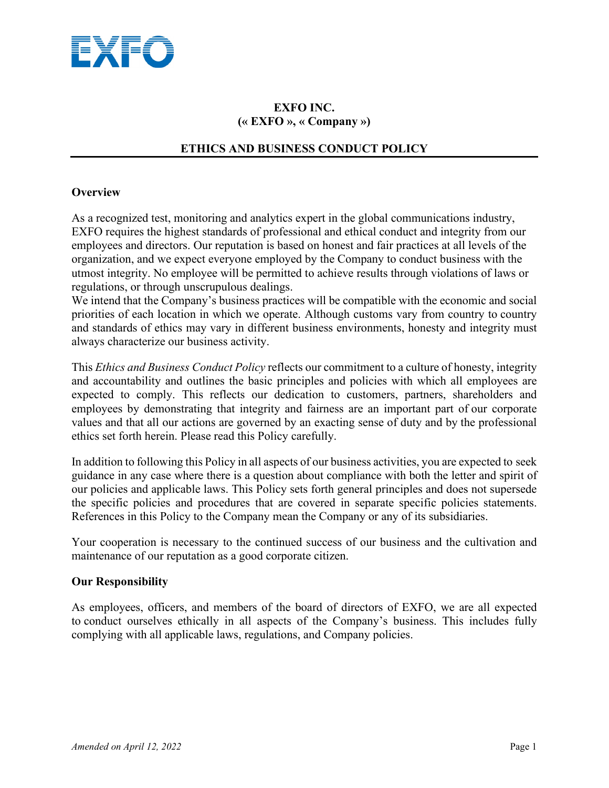

# **EXFO INC. (« EXFO », « Company »)**

# **ETHICS AND BUSINESS CONDUCT POLICY**

# **Overview**

As a recognized test, monitoring and analytics expert in the global communications industry, EXFO requires the highest standards of professional and ethical conduct and integrity from our employees and directors. Our reputation is based on honest and fair practices at all levels of the organization, and we expect everyone employed by the Company to conduct business with the utmost integrity. No employee will be permitted to achieve results through violations of laws or regulations, or through unscrupulous dealings.

We intend that the Company's business practices will be compatible with the economic and social priorities of each location in which we operate. Although customs vary from country to country and standards of ethics may vary in different business environments, honesty and integrity must always characterize our business activity.

This *Ethics and Business Conduct Policy* reflects our commitment to a culture of honesty, integrity and accountability and outlines the basic principles and policies with which all employees are expected to comply. This reflects our dedication to customers, partners, shareholders and employees by demonstrating that integrity and fairness are an important part of our corporate values and that all our actions are governed by an exacting sense of duty and by the professional ethics set forth herein. Please read this Policy carefully.

In addition to following this Policy in all aspects of our business activities, you are expected to seek guidance in any case where there is a question about compliance with both the letter and spirit of our policies and applicable laws. This Policy sets forth general principles and does not supersede the specific policies and procedures that are covered in separate specific policies statements. References in this Policy to the Company mean the Company or any of its subsidiaries.

Your cooperation is necessary to the continued success of our business and the cultivation and maintenance of our reputation as a good corporate citizen.

# **Our Responsibility**

As employees, officers, and members of the board of directors of EXFO, we are all expected to conduct ourselves ethically in all aspects of the Company's business. This includes fully complying with all applicable laws, regulations, and Company policies.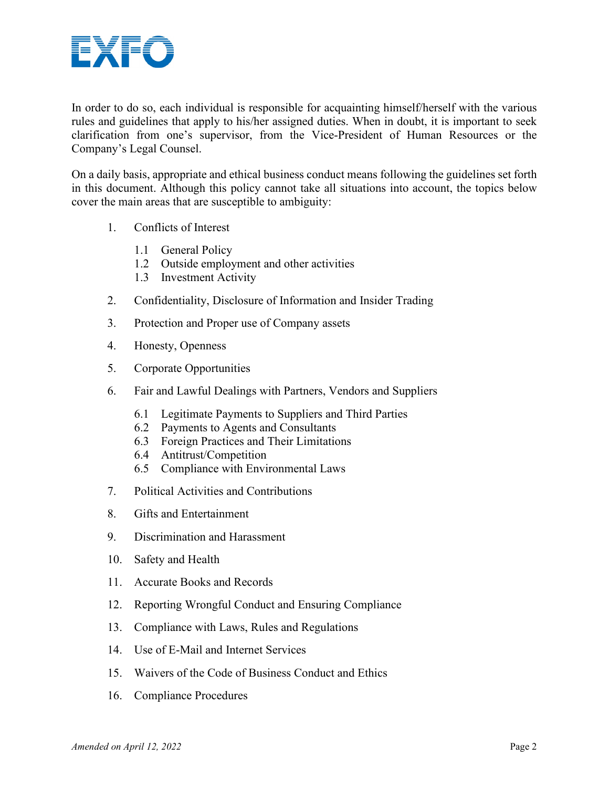

In order to do so, each individual is responsible for acquainting himself/herself with the various rules and guidelines that apply to his/her assigned duties. When in doubt, it is important to seek clarification from one's supervisor, from the Vice-President of Human Resources or the Company's Legal Counsel.

On a daily basis, appropriate and ethical business conduct means following the guidelines set forth in this document. Although this policy cannot take all situations into account, the topics below cover the main areas that are susceptible to ambiguity:

- 1. Conflicts of Interest
	- 1.1 General Policy
	- 1.2 Outside employment and other activities
	- 1.3 Investment Activity
- 2. Confidentiality, Disclosure of Information and Insider Trading
- 3. Protection and Proper use of Company assets
- 4. Honesty, Openness
- 5. Corporate Opportunities
- 6. Fair and Lawful Dealings with Partners, Vendors and Suppliers
	- 6.1 Legitimate Payments to Suppliers and Third Parties
	- 6.2 Payments to Agents and Consultants
	- 6.3 Foreign Practices and Their Limitations
	- 6.4 Antitrust/Competition
	- 6.5 Compliance with Environmental Laws
- 7. Political Activities and Contributions
- 8. Gifts and Entertainment
- 9. Discrimination and Harassment
- 10. Safety and Health
- 11. Accurate Books and Records
- 12. Reporting Wrongful Conduct and Ensuring Compliance
- 13. Compliance with Laws, Rules and Regulations
- 14. Use of E-Mail and Internet Services
- 15. Waivers of the Code of Business Conduct and Ethics
- 16. Compliance Procedures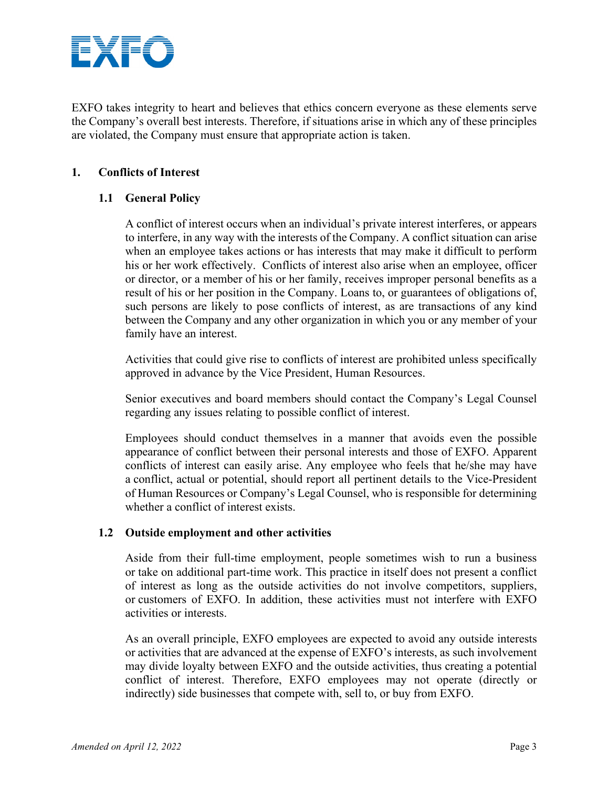

EXFO takes integrity to heart and believes that ethics concern everyone as these elements serve the Company's overall best interests. Therefore, if situations arise in which any of these principles are violated, the Company must ensure that appropriate action is taken.

# **1. Conflicts of Interest**

# **1.1 General Policy**

A conflict of interest occurs when an individual's private interest interferes, or appears to interfere, in any way with the interests of the Company. A conflict situation can arise when an employee takes actions or has interests that may make it difficult to perform his or her work effectively. Conflicts of interest also arise when an employee, officer or director, or a member of his or her family, receives improper personal benefits as a result of his or her position in the Company. Loans to, or guarantees of obligations of, such persons are likely to pose conflicts of interest, as are transactions of any kind between the Company and any other organization in which you or any member of your family have an interest.

Activities that could give rise to conflicts of interest are prohibited unless specifically approved in advance by the Vice President, Human Resources.

Senior executives and board members should contact the Company's Legal Counsel regarding any issues relating to possible conflict of interest.

Employees should conduct themselves in a manner that avoids even the possible appearance of conflict between their personal interests and those of EXFO. Apparent conflicts of interest can easily arise. Any employee who feels that he/she may have a conflict, actual or potential, should report all pertinent details to the Vice-President of Human Resources or Company's Legal Counsel, who is responsible for determining whether a conflict of interest exists.

# **1.2 Outside employment and other activities**

Aside from their full-time employment, people sometimes wish to run a business or take on additional part-time work. This practice in itself does not present a conflict of interest as long as the outside activities do not involve competitors, suppliers, or customers of EXFO. In addition, these activities must not interfere with EXFO activities or interests.

As an overall principle, EXFO employees are expected to avoid any outside interests or activities that are advanced at the expense of EXFO's interests, as such involvement may divide loyalty between EXFO and the outside activities, thus creating a potential conflict of interest. Therefore, EXFO employees may not operate (directly or indirectly) side businesses that compete with, sell to, or buy from EXFO.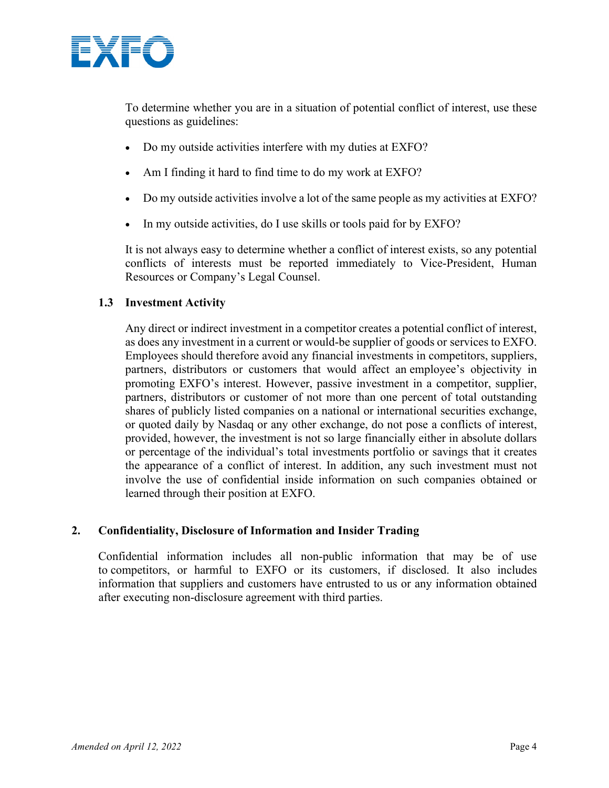

To determine whether you are in a situation of potential conflict of interest, use these questions as guidelines:

- Do my outside activities interfere with my duties at EXFO?
- Am I finding it hard to find time to do my work at EXFO?
- Do my outside activities involve a lot of the same people as my activities at EXFO?
- In my outside activities, do I use skills or tools paid for by EXFO?

It is not always easy to determine whether a conflict of interest exists, so any potential conflicts of interests must be reported immediately to Vice-President, Human Resources or Company's Legal Counsel.

# **1.3 Investment Activity**

Any direct or indirect investment in a competitor creates a potential conflict of interest, as does any investment in a current or would-be supplier of goods or services to EXFO. Employees should therefore avoid any financial investments in competitors, suppliers, partners, distributors or customers that would affect an employee's objectivity in promoting EXFO's interest. However, passive investment in a competitor, supplier, partners, distributors or customer of not more than one percent of total outstanding shares of publicly listed companies on a national or international securities exchange, or quoted daily by Nasdaq or any other exchange, do not pose a conflicts of interest, provided, however, the investment is not so large financially either in absolute dollars or percentage of the individual's total investments portfolio or savings that it creates the appearance of a conflict of interest. In addition, any such investment must not involve the use of confidential inside information on such companies obtained or learned through their position at EXFO.

# **2. Confidentiality, Disclosure of Information and Insider Trading**

Confidential information includes all non-public information that may be of use to competitors, or harmful to EXFO or its customers, if disclosed. It also includes information that suppliers and customers have entrusted to us or any information obtained after executing non-disclosure agreement with third parties.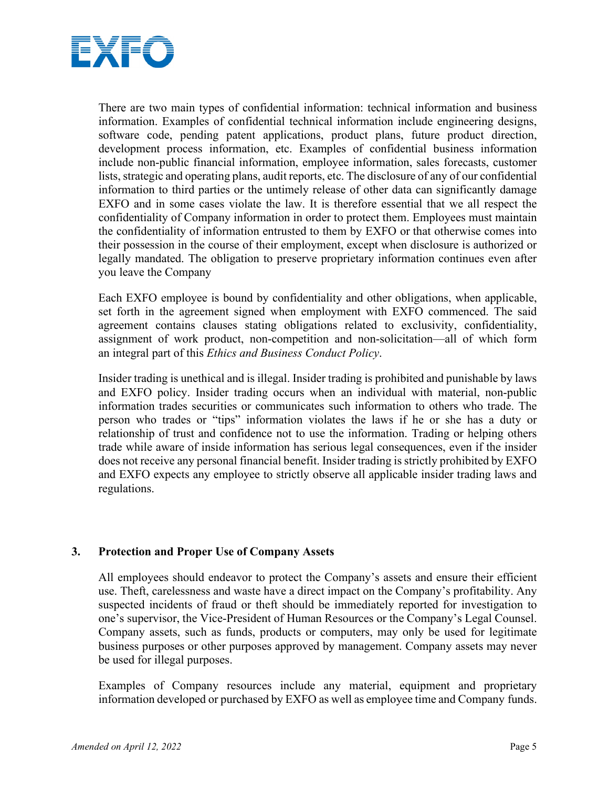

There are two main types of confidential information: technical information and business information. Examples of confidential technical information include engineering designs, software code, pending patent applications, product plans, future product direction, development process information, etc. Examples of confidential business information include non-public financial information, employee information, sales forecasts, customer lists, strategic and operating plans, audit reports, etc. The disclosure of any of our confidential information to third parties or the untimely release of other data can significantly damage EXFO and in some cases violate the law. It is therefore essential that we all respect the confidentiality of Company information in order to protect them. Employees must maintain the confidentiality of information entrusted to them by EXFO or that otherwise comes into their possession in the course of their employment, except when disclosure is authorized or legally mandated. The obligation to preserve proprietary information continues even after you leave the Company

Each EXFO employee is bound by confidentiality and other obligations, when applicable, set forth in the agreement signed when employment with EXFO commenced. The said agreement contains clauses stating obligations related to exclusivity, confidentiality, assignment of work product, non-competition and non-solicitation—all of which form an integral part of this *Ethics and Business Conduct Policy*.

Insider trading is unethical and is illegal. Insider trading is prohibited and punishable by laws and EXFO policy. Insider trading occurs when an individual with material, non-public information trades securities or communicates such information to others who trade. The person who trades or "tips" information violates the laws if he or she has a duty or relationship of trust and confidence not to use the information. Trading or helping others trade while aware of inside information has serious legal consequences, even if the insider does not receive any personal financial benefit. Insider trading is strictly prohibited by EXFO and EXFO expects any employee to strictly observe all applicable insider trading laws and regulations.

# **3. Protection and Proper Use of Company Assets**

All employees should endeavor to protect the Company's assets and ensure their efficient use. Theft, carelessness and waste have a direct impact on the Company's profitability. Any suspected incidents of fraud or theft should be immediately reported for investigation to one's supervisor, the Vice-President of Human Resources or the Company's Legal Counsel. Company assets, such as funds, products or computers, may only be used for legitimate business purposes or other purposes approved by management. Company assets may never be used for illegal purposes.

Examples of Company resources include any material, equipment and proprietary information developed or purchased by EXFO as well as employee time and Company funds.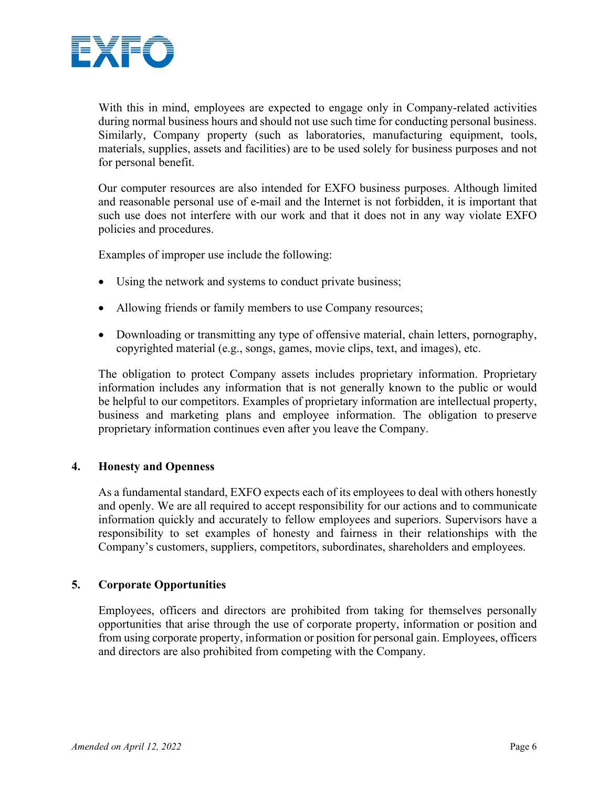

With this in mind, employees are expected to engage only in Company-related activities during normal business hours and should not use such time for conducting personal business. Similarly, Company property (such as laboratories, manufacturing equipment, tools, materials, supplies, assets and facilities) are to be used solely for business purposes and not for personal benefit.

Our computer resources are also intended for EXFO business purposes. Although limited and reasonable personal use of e-mail and the Internet is not forbidden, it is important that such use does not interfere with our work and that it does not in any way violate EXFO policies and procedures.

Examples of improper use include the following:

- Using the network and systems to conduct private business;
- Allowing friends or family members to use Company resources;
- Downloading or transmitting any type of offensive material, chain letters, pornography, copyrighted material (e.g., songs, games, movie clips, text, and images), etc.

The obligation to protect Company assets includes proprietary information. Proprietary information includes any information that is not generally known to the public or would be helpful to our competitors. Examples of proprietary information are intellectual property, business and marketing plans and employee information. The obligation to preserve proprietary information continues even after you leave the Company.

# **4. Honesty and Openness**

As a fundamental standard, EXFO expects each of its employees to deal with others honestly and openly. We are all required to accept responsibility for our actions and to communicate information quickly and accurately to fellow employees and superiors. Supervisors have a responsibility to set examples of honesty and fairness in their relationships with the Company's customers, suppliers, competitors, subordinates, shareholders and employees.

# **5. Corporate Opportunities**

Employees, officers and directors are prohibited from taking for themselves personally opportunities that arise through the use of corporate property, information or position and from using corporate property, information or position for personal gain. Employees, officers and directors are also prohibited from competing with the Company.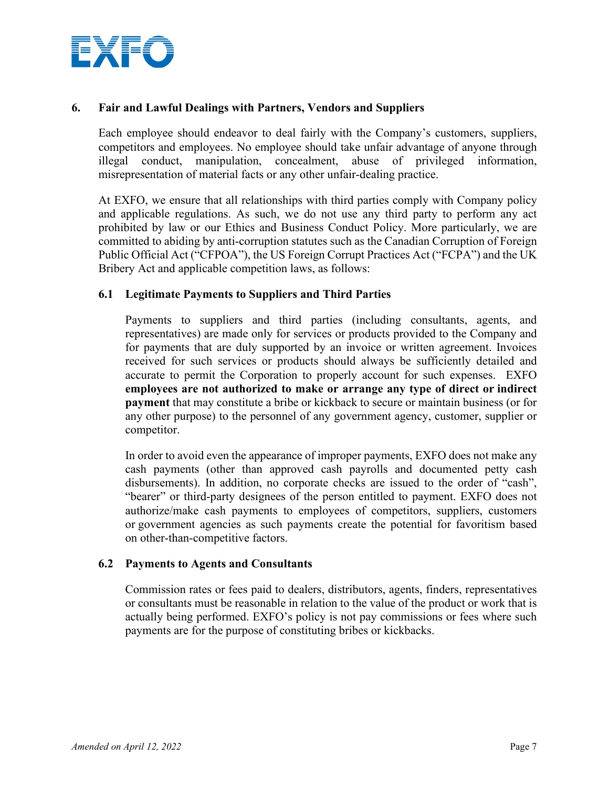

# **6. Fair and Lawful Dealings with Partners, Vendors and Suppliers**

Each employee should endeavor to deal fairly with the Company's customers, suppliers, competitors and employees. No employee should take unfair advantage of anyone through illegal conduct, manipulation, concealment, abuse of privileged information, misrepresentation of material facts or any other unfair-dealing practice.

At EXFO, we ensure that all relationships with third parties comply with Company policy and applicable regulations. As such, we do not use any third party to perform any act prohibited by law or our Ethics and Business Conduct Policy. More particularly, we are committed to abiding by anti-corruption statutes such as the Canadian Corruption of Foreign Public Official Act ("CFPOA"), the US Foreign Corrupt Practices Act ("FCPA") and the UK Bribery Act and applicable competition laws, as follows:

### **6.1 Legitimate Payments to Suppliers and Third Parties**

Payments to suppliers and third parties (including consultants, agents, and representatives) are made only for services or products provided to the Company and for payments that are duly supported by an invoice or written agreement. Invoices received for such services or products should always be sufficiently detailed and accurate to permit the Corporation to properly account for such expenses. EXFO **employees are not authorized to make or arrange any type of direct or indirect payment** that may constitute a bribe or kickback to secure or maintain business (or for any other purpose) to the personnel of any government agency, customer, supplier or competitor.

In order to avoid even the appearance of improper payments, EXFO does not make any cash payments (other than approved cash payrolls and documented petty cash disbursements). In addition, no corporate checks are issued to the order of "cash", "bearer" or third-party designees of the person entitled to payment. EXFO does not authorize/make cash payments to employees of competitors, suppliers, customers or government agencies as such payments create the potential for favoritism based on other-than-competitive factors.

#### **6.2 Payments to Agents and Consultants**

Commission rates or fees paid to dealers, distributors, agents, finders, representatives or consultants must be reasonable in relation to the value of the product or work that is actually being performed. EXFO's policy is not pay commissions or fees where such payments are for the purpose of constituting bribes or kickbacks.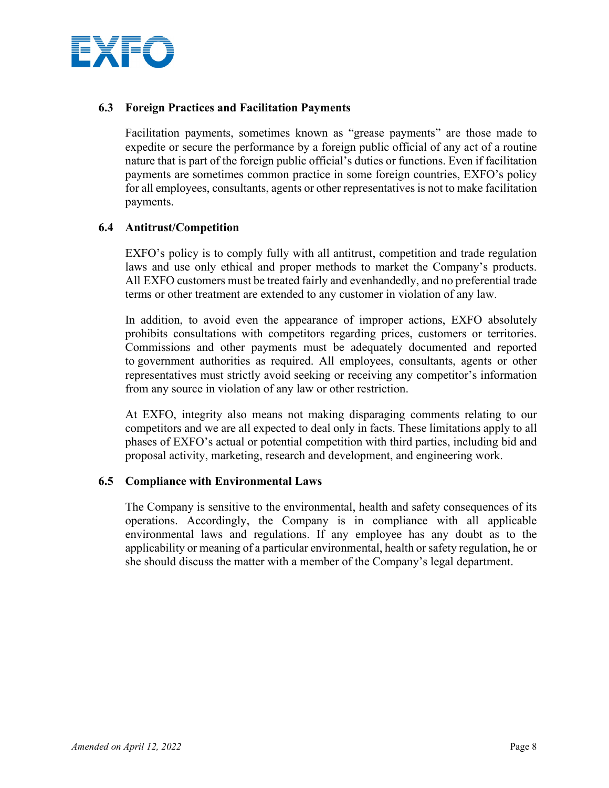

# **6.3 Foreign Practices and Facilitation Payments**

Facilitation payments, sometimes known as "grease payments" are those made to expedite or secure the performance by a foreign public official of any act of a routine nature that is part of the foreign public official's duties or functions. Even if facilitation payments are sometimes common practice in some foreign countries, EXFO's policy for all employees, consultants, agents or other representatives is not to make facilitation payments.

# **6.4 Antitrust/Competition**

EXFO's policy is to comply fully with all antitrust, competition and trade regulation laws and use only ethical and proper methods to market the Company's products. All EXFO customers must be treated fairly and evenhandedly, and no preferential trade terms or other treatment are extended to any customer in violation of any law.

In addition, to avoid even the appearance of improper actions, EXFO absolutely prohibits consultations with competitors regarding prices, customers or territories. Commissions and other payments must be adequately documented and reported to government authorities as required. All employees, consultants, agents or other representatives must strictly avoid seeking or receiving any competitor's information from any source in violation of any law or other restriction.

At EXFO, integrity also means not making disparaging comments relating to our competitors and we are all expected to deal only in facts. These limitations apply to all phases of EXFO's actual or potential competition with third parties, including bid and proposal activity, marketing, research and development, and engineering work.

# **6.5 Compliance with Environmental Laws**

The Company is sensitive to the environmental, health and safety consequences of its operations. Accordingly, the Company is in compliance with all applicable environmental laws and regulations. If any employee has any doubt as to the applicability or meaning of a particular environmental, health or safety regulation, he or she should discuss the matter with a member of the Company's legal department.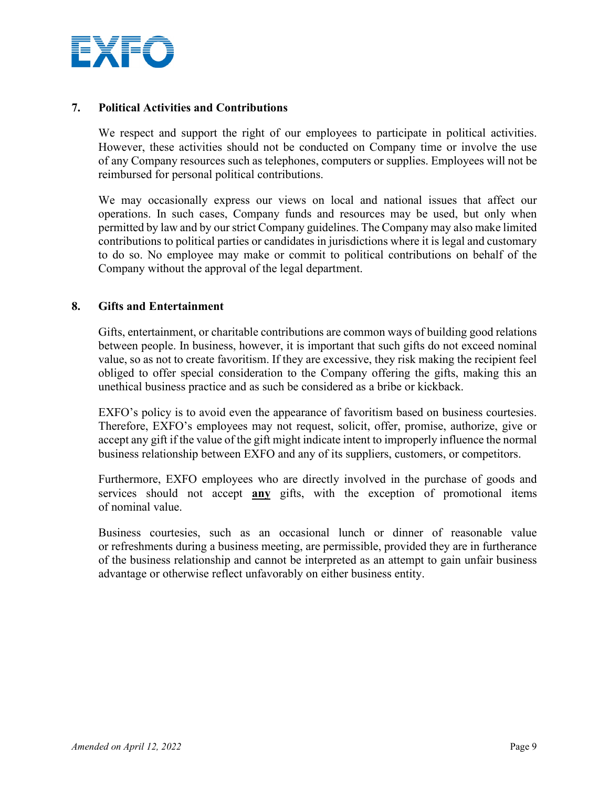

# **7. Political Activities and Contributions**

We respect and support the right of our employees to participate in political activities. However, these activities should not be conducted on Company time or involve the use of any Company resources such as telephones, computers or supplies. Employees will not be reimbursed for personal political contributions.

We may occasionally express our views on local and national issues that affect our operations. In such cases, Company funds and resources may be used, but only when permitted by law and by our strict Company guidelines. The Company may also make limited contributions to political parties or candidates in jurisdictions where it is legal and customary to do so. No employee may make or commit to political contributions on behalf of the Company without the approval of the legal department.

# **8. Gifts and Entertainment**

Gifts, entertainment, or charitable contributions are common ways of building good relations between people. In business, however, it is important that such gifts do not exceed nominal value, so as not to create favoritism. If they are excessive, they risk making the recipient feel obliged to offer special consideration to the Company offering the gifts, making this an unethical business practice and as such be considered as a bribe or kickback.

EXFO's policy is to avoid even the appearance of favoritism based on business courtesies. Therefore, EXFO's employees may not request, solicit, offer, promise, authorize, give or accept any gift if the value of the gift might indicate intent to improperly influence the normal business relationship between EXFO and any of its suppliers, customers, or competitors.

Furthermore, EXFO employees who are directly involved in the purchase of goods and services should not accept **any** gifts, with the exception of promotional items of nominal value.

Business courtesies, such as an occasional lunch or dinner of reasonable value or refreshments during a business meeting, are permissible, provided they are in furtherance of the business relationship and cannot be interpreted as an attempt to gain unfair business advantage or otherwise reflect unfavorably on either business entity.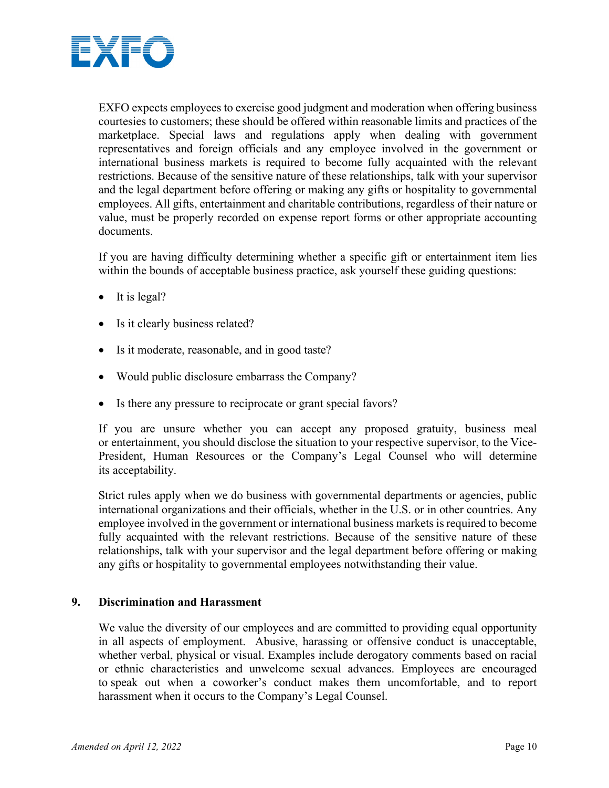

EXFO expects employees to exercise good judgment and moderation when offering business courtesies to customers; these should be offered within reasonable limits and practices of the marketplace. Special laws and regulations apply when dealing with government representatives and foreign officials and any employee involved in the government or international business markets is required to become fully acquainted with the relevant restrictions. Because of the sensitive nature of these relationships, talk with your supervisor and the legal department before offering or making any gifts or hospitality to governmental employees. All gifts, entertainment and charitable contributions, regardless of their nature or value, must be properly recorded on expense report forms or other appropriate accounting documents.

If you are having difficulty determining whether a specific gift or entertainment item lies within the bounds of acceptable business practice, ask yourself these guiding questions:

- It is legal?
- Is it clearly business related?
- Is it moderate, reasonable, and in good taste?
- Would public disclosure embarrass the Company?
- Is there any pressure to reciprocate or grant special favors?

If you are unsure whether you can accept any proposed gratuity, business meal or entertainment, you should disclose the situation to your respective supervisor, to the Vice-President, Human Resources or the Company's Legal Counsel who will determine its acceptability.

Strict rules apply when we do business with governmental departments or agencies, public international organizations and their officials, whether in the U.S. or in other countries. Any employee involved in the government or international business markets is required to become fully acquainted with the relevant restrictions. Because of the sensitive nature of these relationships, talk with your supervisor and the legal department before offering or making any gifts or hospitality to governmental employees notwithstanding their value.

# **9. Discrimination and Harassment**

We value the diversity of our employees and are committed to providing equal opportunity in all aspects of employment. Abusive, harassing or offensive conduct is unacceptable, whether verbal, physical or visual. Examples include derogatory comments based on racial or ethnic characteristics and unwelcome sexual advances. Employees are encouraged to speak out when a coworker's conduct makes them uncomfortable, and to report harassment when it occurs to the Company's Legal Counsel.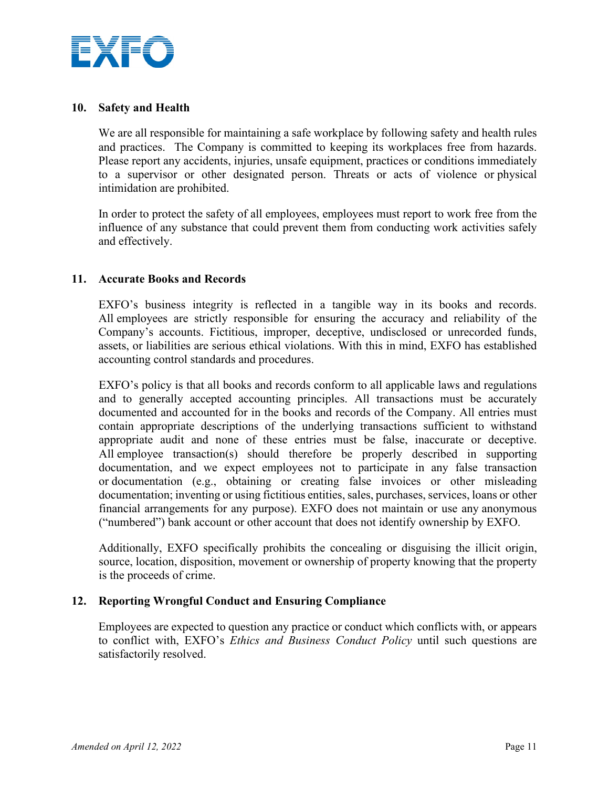

### **10. Safety and Health**

We are all responsible for maintaining a safe workplace by following safety and health rules and practices. The Company is committed to keeping its workplaces free from hazards. Please report any accidents, injuries, unsafe equipment, practices or conditions immediately to a supervisor or other designated person. Threats or acts of violence or physical intimidation are prohibited.

In order to protect the safety of all employees, employees must report to work free from the influence of any substance that could prevent them from conducting work activities safely and effectively.

# **11. Accurate Books and Records**

EXFO's business integrity is reflected in a tangible way in its books and records. All employees are strictly responsible for ensuring the accuracy and reliability of the Company's accounts. Fictitious, improper, deceptive, undisclosed or unrecorded funds, assets, or liabilities are serious ethical violations. With this in mind, EXFO has established accounting control standards and procedures.

EXFO's policy is that all books and records conform to all applicable laws and regulations and to generally accepted accounting principles. All transactions must be accurately documented and accounted for in the books and records of the Company. All entries must contain appropriate descriptions of the underlying transactions sufficient to withstand appropriate audit and none of these entries must be false, inaccurate or deceptive. All employee transaction(s) should therefore be properly described in supporting documentation, and we expect employees not to participate in any false transaction or documentation (e.g., obtaining or creating false invoices or other misleading documentation; inventing or using fictitious entities, sales, purchases, services, loans or other financial arrangements for any purpose). EXFO does not maintain or use any anonymous ("numbered") bank account or other account that does not identify ownership by EXFO.

Additionally, EXFO specifically prohibits the concealing or disguising the illicit origin, source, location, disposition, movement or ownership of property knowing that the property is the proceeds of crime.

# **12. Reporting Wrongful Conduct and Ensuring Compliance**

Employees are expected to question any practice or conduct which conflicts with, or appears to conflict with, EXFO's *Ethics and Business Conduct Policy* until such questions are satisfactorily resolved.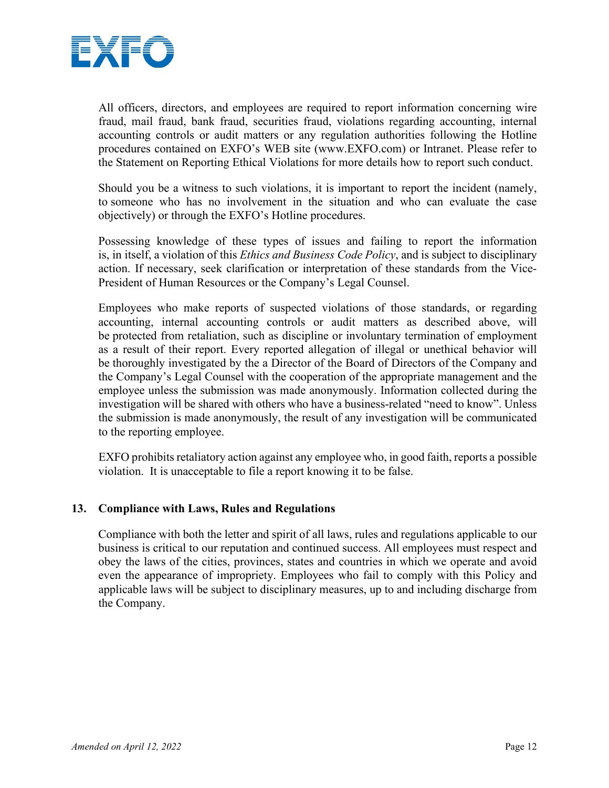

All officers, directors, and employees are required to report information concerning wire fraud, mail fraud, bank fraud, securities fraud, violations regarding accounting, internal accounting controls or audit matters or any regulation authorities following the Hotline procedures contained on EXFO's WEB site [\(www.EXFO.com\)](http://www.exfo.com/) or Intranet. Please refer to the Statement on Reporting Ethical Violations for more details how to report such conduct.

Should you be a witness to such violations, it is important to report the incident (namely, to someone who has no involvement in the situation and who can evaluate the case objectively) or through the EXFO's Hotline procedures.

Possessing knowledge of these types of issues and failing to report the information is, in itself, a violation of this *Ethics and Business Code Policy*, and is subject to disciplinary action. If necessary, seek clarification or interpretation of these standards from the Vice-President of Human Resources or the Company's Legal Counsel.

Employees who make reports of suspected violations of those standards, or regarding accounting, internal accounting controls or audit matters as described above, will be protected from retaliation, such as discipline or involuntary termination of employment as a result of their report. Every reported allegation of illegal or unethical behavior will be thoroughly investigated by the a Director of the Board of Directors of the Company and the Company's Legal Counsel with the cooperation of the appropriate management and the employee unless the submission was made anonymously. Information collected during the investigation will be shared with others who have a business-related "need to know". Unless the submission is made anonymously, the result of any investigation will be communicated to the reporting employee.

EXFO prohibits retaliatory action against any employee who, in good faith, reports a possible violation. It is unacceptable to file a report knowing it to be false.

# **13. Compliance with Laws, Rules and Regulations**

Compliance with both the letter and spirit of all laws, rules and regulations applicable to our business is critical to our reputation and continued success. All employees must respect and obey the laws of the cities, provinces, states and countries in which we operate and avoid even the appearance of impropriety. Employees who fail to comply with this Policy and applicable laws will be subject to disciplinary measures, up to and including discharge from the Company.